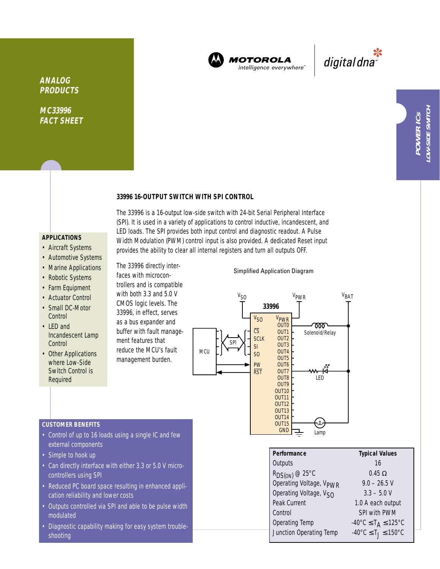

The 33996 is a 16-output low-side switch with 24-bit Serial Peripheral Interface (SPI). It is used in a variety of applications to control inductive, incandescent, and LED loads. The SPI provides both input control and diagnostic readout. A Pulse Width Modulation (PWM) control input is also provided. A dedicated Reset input provides the ability to clear all internal registers and turn all outputs OFF.

**MOTOROLA** intelligence everywhere<sup>®</sup>

\*<br>"digital dna

**MC33996 FACT SHEET**

## **33996 16-OUTPUT SWITCH WITH SPI CONTROL**

# **APPLICATIONS**

- Aircraft Systems
- Automotive Systems
- Marine Applications
- Robotic Systems
- Farm Equipment
- Actuator Control
- Small DC-Motor **Control**
- LED and Incandescent Lamp **Control**
- Other Applications where Low-Side Switch Control is Required

faces with microcontrollers and is compatible with both 3.3 and 5.0 V CMOS logic levels. The 33996, in effect, serves

The 33996 directly inter-

as a bus expander and buffer with fault management features that reduce the MCU's fault management burden.

and few

#### Simplified Application Diagram



| • Control of up to 16 loads using a single IC |
|-----------------------------------------------|
| external components                           |

• Simple to hook up

**CUSTOMER BENEFITS**

- Can directly interface with either 3.3 or 5.0 V microcontrollers using SPI
- Reduced PC board space resulting in enhanced application reliability and lower costs
- Outputs controlled via SPI and able to be pulse width modulated
- Diagnostic capability making for easy system troubleshooting

| Performance                         | <b>Typical Values</b>                                         |
|-------------------------------------|---------------------------------------------------------------|
| Outputs                             | 16                                                            |
| $R_{DS(ON)}$ @ 25°C                 | $0.45 \Omega$                                                 |
| Operating Voltage, V <sub>PWR</sub> | $9.0 - 26.5$ V                                                |
| Operating Voltage, Vsn              | $3.3 - 5.0 V$                                                 |
| Peak Current                        | 1.0 A each output                                             |
| Control                             | SPI with PWM                                                  |
| <b>Operating Temp</b>               | $-40^{\circ}$ C $\leq$ T <sub>A</sub> $\leq$ 125°C            |
| Junction Operating Temp             | $-40^{\circ}$ C $\leq$ T <sub>1</sub> $\leq$ 150 $^{\circ}$ C |